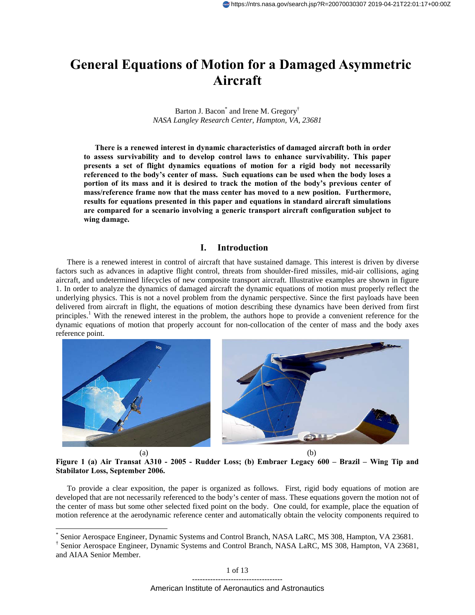# **General Equations of Motion for a Damaged Asymmetric Aircraft**

Barton J. Bacon $^*$  and Irene M. Gregory $^{\dagger}$ *NASA Langley Research Center, Hampton, VA, 23681* 

**There is a renewed interest in dynamic characteristics of damaged aircraft both in order to assess survivability and to develop control laws to enhance survivability. This paper presents a set of flight dynamics equations of motion for a rigid body not necessarily referenced to the body's center of mass. Such equations can be used when the body loses a portion of its mass and it is desired to track the motion of the body's previous center of mass/reference frame now that the mass center has moved to a new position. Furthermore, results for equations presented in this paper and equations in standard aircraft simulations are compared for a scenario involving a generic transport aircraft configuration subject to wing damage.** 

# **I. Introduction**

There is a renewed interest in control of aircraft that have sustained damage. This interest is driven by diverse factors such as advances in adaptive flight control, threats from shoulder-fired missiles, mid-air collisions, aging aircraft, and undetermined lifecycles of new composite transport aircraft. Illustrative examples are shown in figure 1. In order to analyze the dynamics of damaged aircraft the dynamic equations of motion must properly reflect the underlying physics. This is not a novel problem from the dynamic perspective. Since the first payloads have been delivered from aircraft in flight, the equations of motion describing these dynamics have been derived from first principles.<sup>1</sup> With the renewed interest in the problem, the authors hope to provide a convenient reference for the dynamic equations of motion that properly account for non-collocation of the center of mass and the body axes reference point.



 $\overline{a}$ 



**Figure 1 (a) Air Transat A310 - 2005 - Rudder Loss; (b) Embraer Legacy 600 – Brazil – Wing Tip and Stabilator Loss, September 2006.** 

To provide a clear exposition, the paper is organized as follows. First, rigid body equations of motion are developed that are not necessarily referenced to the body's center of mass. These equations govern the motion not of the center of mass but some other selected fixed point on the body. One could, for example, place the equation of motion reference at the aerodynamic reference center and automatically obtain the velocity components required to

<sup>\*</sup> Senior Aerospace Engineer, Dynamic Systems and Control Branch, NASA LaRC, MS 308, Hampton, VA 23681.

<sup>†</sup> Senior Aerospace Engineer, Dynamic Systems and Control Branch, NASA LaRC, MS 308, Hampton, VA 23681, and AIAA Senior Member.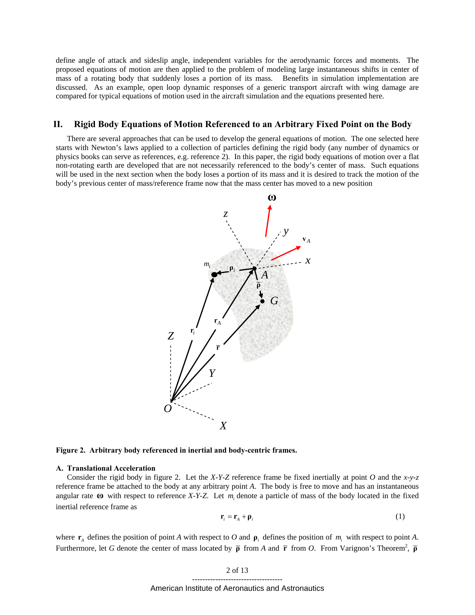define angle of attack and sideslip angle, independent variables for the aerodynamic forces and moments. The proposed equations of motion are then applied to the problem of modeling large instantaneous shifts in center of mass of a rotating body that suddenly loses a portion of its mass. Benefits in simulation implementation are discussed. As an example, open loop dynamic responses of a generic transport aircraft with wing damage are compared for typical equations of motion used in the aircraft simulation and the equations presented here.

## **II. Rigid Body Equations of Motion Referenced to an Arbitrary Fixed Point on the Body**

There are several approaches that can be used to develop the general equations of motion. The one selected here starts with Newton's laws applied to a collection of particles defining the rigid body (any number of dynamics or physics books can serve as references, e.g. reference 2). In this paper, the rigid body equations of motion over a flat non-rotating earth are developed that are not necessarily referenced to the body's center of mass. Such equations will be used in the next section when the body loses a portion of its mass and it is desired to track the motion of the body's previous center of mass/reference frame now that the mass center has moved to a new position



**Figure 2. Arbitrary body referenced in inertial and body-centric frames.** 

#### **A. Translational Acceleration**

Consider the rigid body in figure 2. Let the *X-Y-Z* reference frame be fixed inertially at point *O* and the *x-y-z* reference frame be attached to the body at any arbitrary point *A*. The body is free to move and has an instantaneous angular rate **ω** with respect to reference *X-Y-Z*. Let *mi* denote a particle of mass of the body located in the fixed inertial reference frame as

$$
\mathbf{r}_i = \mathbf{r}_A + \mathbf{\rho}_i \tag{1}
$$

where  $\mathbf{r}_A$  defines the position of point *A* with respect to *O* and  $\mathbf{p}_i$  defines the position of  $m_i$  with respect to point *A*. Furthermore, let *G* denote the center of mass located by  $\bar{\rho}$  from *A* and  $\bar{r}$  from *O*. From Varignon's Theorem<sup>2</sup>,  $\bar{\rho}$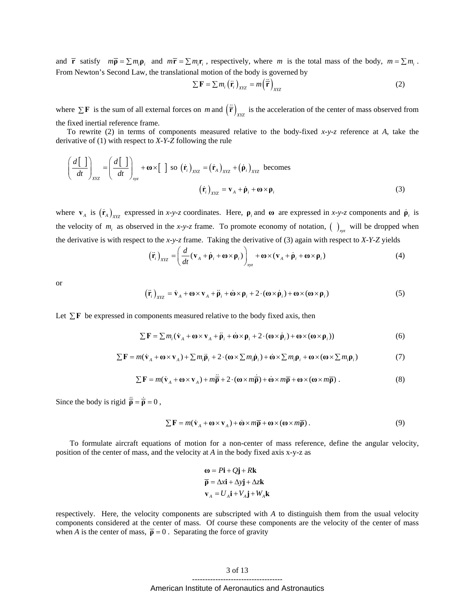and **r** satisfy  $m\bar{p} = \sum m_i \rho_i$  and  $m\bar{r} = \sum m_i r_i$ , respectively, where *m* is the total mass of the body,  $m = \sum m_i$ . From Newton's Second Law, the translational motion of the body is governed by

$$
\sum \mathbf{F} = \sum m_i \left( \ddot{\mathbf{r}}_i \right)_{XYZ} = m \left( \ddot{\mathbf{r}} \right)_{XYZ}
$$
 (2)

where  $\Sigma \mathbf{F}$  is the sum of all external forces on *m* and  $(\ddot{\mathbf{r}})_{XZ}$  is the acceleration of the center of mass observed from the fixed inertial reference frame.

To rewrite (2) in terms of components measured relative to the body-fixed *x-y-z* reference at *A*, take the derivative of (1) with respect to *X-Y-Z* following the rule

$$
\left(\frac{d\begin{bmatrix} \phantom{a}\end{bmatrix}}{dt}\right)_{XYZ} = \left(\frac{d\begin{bmatrix} \phantom{a}\end{bmatrix}}{dt}\right)_{xyz} + \omega \times \begin{bmatrix} \phantom{a}\end{bmatrix} \text{ so } (\dot{\mathbf{r}}_i)_{XYZ} = (\dot{\mathbf{r}}_A)_{XYZ} + (\dot{\mathbf{p}}_i)_{XYZ} \text{ becomes}
$$
\n
$$
(\dot{\mathbf{r}}_i)_{XYZ} = \mathbf{v}_A + \dot{\mathbf{p}}_i + \omega \times \mathbf{p}_i \tag{3}
$$

where  $\mathbf{v}_A$  is  $(\dot{\mathbf{r}}_A)_{XYZ}$  expressed in *x-y-z* coordinates. Here,  $\rho_i$  and  $\omega$  are expressed in *x-y-z* components and  $\dot{\rho}_i$  is the velocity of  $m_i$  as observed in the *x*-y-*z* frame. To promote economy of notation,  $\left(\begin{array}{c} \n\end{array}\right)_{xyz}$  will be dropped when the derivative is with respect to the *x-y-z* frame. Taking the derivative of (3) again with respect to *X-Y-Z* yields

$$
\left(\ddot{\mathbf{r}}_{i}\right)_{XYZ} = \left(\frac{d}{dt}(\mathbf{v}_{A} + \dot{\mathbf{p}}_{i} + \mathbf{\omega} \times \mathbf{p}_{i})\right)_{xyz} + \mathbf{\omega} \times (\mathbf{v}_{A} + \dot{\mathbf{p}}_{i} + \mathbf{\omega} \times \mathbf{p}_{i})
$$
\n(4)

or

$$
(\ddot{\mathbf{r}}_i)_{XYZ} = \dot{\mathbf{v}}_A + \mathbf{\omega} \times \mathbf{v}_A + \ddot{\mathbf{p}}_i + \dot{\mathbf{\omega}} \times \mathbf{p}_i + 2 \cdot (\mathbf{\omega} \times \dot{\mathbf{p}}_i) + \mathbf{\omega} \times (\mathbf{\omega} \times \mathbf{p}_i)
$$
(5)

Let  $\Sigma$ **F** be expressed in components measured relative to the body fixed axis, then

$$
\sum \mathbf{F} = \sum m_i (\dot{\mathbf{v}}_A + \mathbf{\omega} \times \mathbf{v}_A + \ddot{\mathbf{p}}_i + \dot{\mathbf{\omega}} \times \mathbf{p}_i + 2 \cdot (\mathbf{\omega} \times \dot{\mathbf{p}}_i) + \mathbf{\omega} \times (\mathbf{\omega} \times \mathbf{p}_i))
$$
(6)

$$
\sum \mathbf{F} = m(\dot{\mathbf{v}}_A + \mathbf{\omega} \times \mathbf{v}_A) + \sum m_i \ddot{\mathbf{p}}_i + 2 \cdot (\mathbf{\omega} \times \sum m_i \dot{\mathbf{p}}_i) + \dot{\mathbf{\omega}} \times \sum m_i \mathbf{p}_i + \mathbf{\omega} \times (\mathbf{\omega} \times \sum m_i \mathbf{p}_i)
$$
(7)

$$
\sum \mathbf{F} = m(\dot{\mathbf{v}}_A + \mathbf{\omega} \times \mathbf{v}_A) + m\ddot{\overline{\mathbf{p}}} + 2 \cdot (\mathbf{\omega} \times m\dot{\overline{\mathbf{p}}}) + \mathbf{\omega} \times m\overline{\mathbf{p}} + \mathbf{\omega} \times (\mathbf{\omega} \times m\overline{\mathbf{p}}).
$$
 (8)

Since the body is rigid  $\ddot{\vec{p}} = \dot{\vec{p}} = 0$ ,

$$
\sum \mathbf{F} = m(\dot{\mathbf{v}}_A + \mathbf{\omega} \times \mathbf{v}_A) + \dot{\mathbf{\omega}} \times m\overline{\mathbf{\rho}} + \mathbf{\omega} \times (\mathbf{\omega} \times m\overline{\mathbf{\rho}}).
$$
 (9)

To formulate aircraft equations of motion for a non-center of mass reference, define the angular velocity, position of the center of mass, and the velocity at *A* in the body fixed axis x-y-z as

$$
\mathbf{\omega} = P\mathbf{i} + Q\mathbf{j} + R\mathbf{k}
$$
  

$$
\overline{\mathbf{p}} = \Delta x\mathbf{i} + \Delta y\mathbf{j} + \Delta z\mathbf{k}
$$
  

$$
\mathbf{v}_A = U_A\mathbf{i} + V_A\mathbf{j} + W_A\mathbf{k}
$$

respectively. Here, the velocity components are subscripted with *A* to distinguish them from the usual velocity components considered at the center of mass. Of course these components are the velocity of the center of mass when *A* is the center of mass,  $\bar{\rho} = 0$ . Separating the force of gravity

-----------------------------------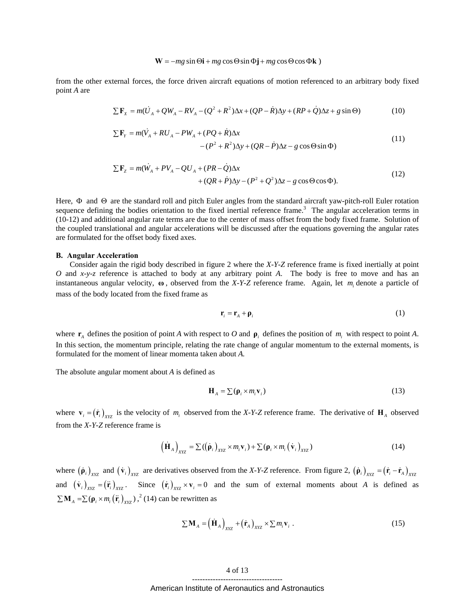$W = -mg \sin \Theta i + mg \cos \Theta \sin \Phi i + mg \cos \Theta \cos \Phi k$ 

from the other external forces, the force driven aircraft equations of motion referenced to an arbitrary body fixed point *A* are

$$
\sum \mathbf{F}_x = m(\dot{U}_A + QW_A - RV_A - (Q^2 + R^2)\Delta x + (QP - \dot{R})\Delta y + (RP + \dot{Q})\Delta z + g\sin\Theta)
$$
(10)

$$
\sum \mathbf{F}_Y = m(\dot{V}_A + RU_A - PW_A + (PQ + \dot{R})\Delta x
$$
  
 
$$
-(P^2 + R^2)\Delta y + (QR - \dot{P})\Delta z - g\cos\Theta\sin\Phi)
$$
 (11)

$$
\sum \mathbf{F}_z = m(\dot{W}_A + PV_A - QU_A + (PR - \dot{Q})\Delta x + (QR + \dot{P})\Delta y - (P^2 + Q^2)\Delta z - g\cos\Theta\cos\Phi).
$$
 (12)

Here, Φ and Θ are the standard roll and pitch Euler angles from the standard aircraft yaw-pitch-roll Euler rotation sequence defining the bodies orientation to the fixed inertial reference frame.<sup>3</sup> The angular acceleration terms in (10-12) and additional angular rate terms are due to the center of mass offset from the body fixed frame. Solution of the coupled translational and angular accelerations will be discussed after the equations governing the angular rates are formulated for the offset body fixed axes.

#### **B. Angular Acceleration**

Consider again the rigid body described in figure 2 where the *X-Y-Z* reference frame is fixed inertially at point *O* and *x-y-z* reference is attached to body at any arbitrary point *A*. The body is free to move and has an instantaneous angular velocity,  $\omega$ , observed from the *X-Y-Z* reference frame. Again, let  $m_i$  denote a particle of mass of the body located from the fixed frame as

$$
\mathbf{r}_i = \mathbf{r}_A + \mathbf{\rho}_i \tag{1}
$$

where  $\mathbf{r}_A$  defines the position of point *A* with respect to *O* and  $\mathbf{p}_i$  defines the position of  $m_i$  with respect to point *A*. In this section, the momentum principle, relating the rate change of angular momentum to the external moments, is formulated for the moment of linear momenta taken about *A.*

The absolute angular moment about *A* is defined as

$$
\mathbf{H}_{A} = \sum (\mathbf{p}_{i} \times m_{i} \mathbf{v}_{i})
$$
 (13)

where  $\mathbf{v}_i = (\dot{\mathbf{r}}_i)_{XYZ}$  is the velocity of  $m_i$  observed from the *X-Y-Z* reference frame. The derivative of  $\mathbf{H}_A$  observed from the *X-Y-Z* reference frame is

$$
\left(\dot{\mathbf{H}}_{A}\right)_{XYZ} = \sum \left(\left(\dot{\boldsymbol{\rho}}_{i}\right)_{XYZ} \times m_{i} \mathbf{v}_{i}\right) + \sum \left(\mathbf{p}_{i} \times m_{i} \left(\dot{\mathbf{v}}_{i}\right)_{XYZ}\right)
$$
\n(14)

where  $(\dot{\mathbf{p}}_i)_{\text{XYZ}}$  and  $(\dot{\mathbf{v}}_i)_{\text{XYZ}}$  are derivatives observed from the *X-Y-Z* reference. From figure 2,  $(\dot{\mathbf{p}}_i)_{\text{XYZ}} = (\dot{\mathbf{r}}_i - \dot{\mathbf{r}}_A)_{\text{XYZ}}$ and  $(\dot{v}_i)_{XYZ} = (\ddot{r}_i)_{XYZ}$ . Since  $(\dot{r}_i)_{XYZ} \times v_i = 0$  and the sum of external moments about *A* is defined as  $\sum \mathbf{M}_A = \sum (\mathbf{p}_i \times m_i (\mathbf{\ddot{r}}_i)_{XYZ})$ ,<sup>2</sup> (14) can be rewritten as

$$
\sum \mathbf{M}_{A} = \left(\dot{\mathbf{H}}_{A}\right)_{XYZ} + \left(\dot{\mathbf{r}}_{A}\right)_{XYZ} \times \sum m_{i} \mathbf{v}_{i} .
$$
\n(15)

-----------------------------------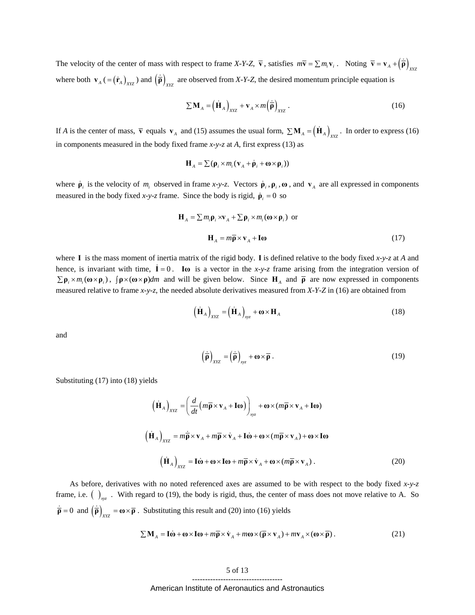The velocity of the center of mass with respect to frame *X-Y-Z*,  $\overline{\mathbf{v}}$ , satisfies  $m\overline{\mathbf{v}} = \sum m_i \mathbf{v}_i$ . Noting  $\overline{\mathbf{v}} = \mathbf{v}_A + (\dot{\overline{\mathbf{p}}})_{XYZ}$ where both  $\mathbf{v}_A$  (= $(\dot{\mathbf{r}}_A)_{XYZ}$ ) and  $(\dot{\mathbf{p}})_{XYZ}$  are observed from *X-Y-Z*, the desired momentum principle equation is

$$
\sum \mathbf{M}_{A} = \left(\dot{\mathbf{H}}_{A}\right)_{XYZ} + \mathbf{v}_{A} \times m\left(\dot{\overline{\mathbf{p}}}\right)_{XYZ}.
$$
 (16)

If *A* is the center of mass,  $\overline{\bf v}$  equals  ${\bf v}_A$  and (15) assumes the usual form,  $\sum {\bf M}_A = (\dot{\bf H}_A)_{XYZ}$ . In order to express (16) in components measured in the body fixed frame *x-y-z* at *A*, first express (13) as

$$
\mathbf{H}_{A} = \sum (\mathbf{p}_{i} \times m_{i} (\mathbf{v}_{A} + \dot{\mathbf{p}}_{i} + \mathbf{\omega} \times \mathbf{p}_{i}))
$$

where  $\dot{\mathbf{p}}_i$  is the velocity of  $m_i$  observed in frame *x*-*y*-*z*. Vectors  $\dot{\mathbf{p}}_i$ ,  $\mathbf{p}_i$ ,  $\mathbf{o}$ , and  $\mathbf{v}_A$  are all expressed in components measured in the body fixed *x*-*y*-*z* frame. Since the body is rigid,  $\dot{\rho}_i = 0$  so

$$
\mathbf{H}_{A} = \sum m_{i} \mathbf{p}_{i} \times \mathbf{v}_{A} + \sum \mathbf{p}_{i} \times m_{i} (\mathbf{\omega} \times \mathbf{p}_{i}) \text{ or}
$$

$$
\mathbf{H}_{A} = m \overline{\mathbf{p}} \times \mathbf{v}_{A} + \mathbf{I} \mathbf{\omega}
$$
(17)

where **I** is the mass moment of inertia matrix of the rigid body. **I** is defined relative to the body fixed *x-y-z* at *A* and hence, is invariant with time,  $\dot{\mathbf{I}} = 0$ . Io is a vector in the *x-y-z* frame arising from the integration version of  $\sum \rho_i \times m_i(\omega \times \rho_i)$ ,  $\int \rho \times (\omega \times \rho) dm$  and will be given below. Since H<sub>*A*</sub> and  $\bar{\rho}$  are now expressed in components measured relative to frame *x-y-z*, the needed absolute derivatives measured from *X-Y-Z* in (16) are obtained from

$$
\left(\dot{\mathbf{H}}_{A}\right)_{XYZ} = \left(\dot{\mathbf{H}}_{A}\right)_{xyz} + \boldsymbol{\omega} \times \mathbf{H}_{A}
$$
\n(18)

and

$$
\left(\dot{\overline{\mathbf{p}}}\right)_{XYZ} = \left(\dot{\overline{\mathbf{p}}}\right)_{xyz} + \boldsymbol{\omega} \times \overline{\boldsymbol{\rho}}\,. \tag{19}
$$

Substituting (17) into (18) yields

$$
\left(\dot{\mathbf{H}}_{A}\right)_{XYZ} = \left(\frac{d}{dt}\left(m\overline{\mathbf{p}} \times \mathbf{v}_{A} + \mathbf{I}\boldsymbol{\omega}\right)\right)_{xyz} + \boldsymbol{\omega} \times (m\overline{\mathbf{p}} \times \mathbf{v}_{A} + \mathbf{I}\boldsymbol{\omega})
$$
\n
$$
\left(\dot{\mathbf{H}}_{A}\right)_{XYZ} = m\dot{\overline{\mathbf{p}}} \times \mathbf{v}_{A} + m\overline{\mathbf{p}} \times \dot{\mathbf{v}}_{A} + \mathbf{I}\dot{\boldsymbol{\omega}} + \boldsymbol{\omega} \times (m\overline{\mathbf{p}} \times \mathbf{v}_{A}) + \boldsymbol{\omega} \times \mathbf{I}\boldsymbol{\omega}
$$
\n
$$
\left(\dot{\mathbf{H}}_{A}\right)_{XYZ} = \mathbf{I}\dot{\boldsymbol{\omega}} + \boldsymbol{\omega} \times \mathbf{I}\boldsymbol{\omega} + m\overline{\mathbf{p}} \times \dot{\mathbf{v}}_{A} + \boldsymbol{\omega} \times (m\overline{\mathbf{p}} \times \mathbf{v}_{A}).
$$
\n(20)

As before, derivatives with no noted referenced axes are assumed to be with respect to the body fixed *x-y-z* frame, i.e.  $\left(\right)_{xy}$ . With regard to (19), the body is rigid, thus, the center of mass does not move relative to A. So  $\dot{\overline{\rho}} = 0$  and  $(\dot{\overline{\rho}})_{XYZ} = \omega \times \overline{\rho}$ . Substituting this result and (20) into (16) yields

$$
\sum \mathbf{M}_{A} = \mathbf{I}\dot{\mathbf{\omega}} + \mathbf{\omega} \times \mathbf{I}\mathbf{\omega} + m\overline{\mathbf{\rho}} \times \dot{\mathbf{v}}_{A} + m\mathbf{\omega} \times (\overline{\mathbf{\rho}} \times \mathbf{v}_{A}) + m\mathbf{v}_{A} \times (\mathbf{\omega} \times \overline{\mathbf{\rho}}).
$$
 (21)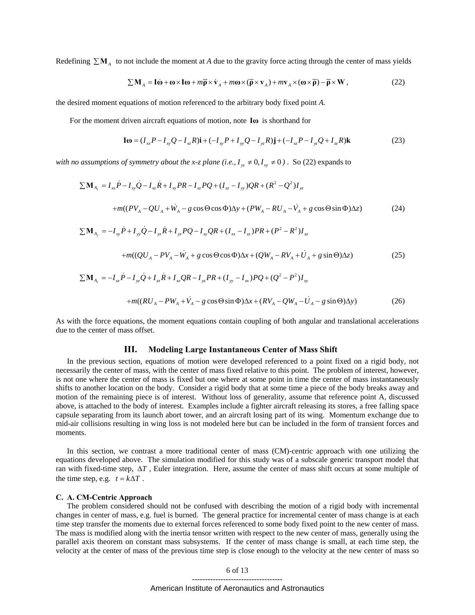Redefining  $\Sigma M_A$  to not include the moment at *A* due to the gravity force acting through the center of mass yields

$$
\sum \mathbf{M}_{A} = \mathbf{I}\dot{\mathbf{\omega}} + \mathbf{\omega} \times \mathbf{I}\mathbf{\omega} + m\overline{\mathbf{\rho}} \times \dot{\mathbf{v}}_{A} + m\mathbf{\omega} \times (\overline{\mathbf{\rho}} \times \mathbf{v}_{A}) + m\mathbf{v}_{A} \times (\mathbf{\omega} \times \overline{\mathbf{\rho}}) - \overline{\mathbf{\rho}} \times \mathbf{W},
$$
 (22)

the desired moment equations of motion referenced to the arbitrary body fixed point *A*.

For the moment driven aircraft equations of motion, note **Iω** is shorthand for

$$
I\omega = (I_{xx}P - I_{xy}Q - I_{xz}R)i + (-I_{xy}P + I_{yy}Q - I_{yz}R)j + (-I_{xz}P - I_{yz}Q + I_{zx}R)k
$$
 (23)

*with no assumptions of symmetry about the x-z plane (i.e.,*  $I_{yz} \neq 0, I_{xy} \neq 0$ ). So (22) expands to

$$
\sum \mathbf{M}_{A_x} = I_{xx} \dot{P} - I_{xy} \dot{Q} - I_{xz} \dot{R} + I_{xy} PR - I_{xz} PQ + (I_{zz} - I_{yy})QR + (R^2 - Q^2)I_{yz}
$$
  
+
$$
m((PV_A - QU_A + \dot{W}_A - g \cos \Theta \cos \Phi) \Delta y + (PW_A - RU_A - \dot{V}_A + g \cos \Theta \sin \Phi) \Delta z)
$$
(24)  

$$
\sum \mathbf{M}_{A_y} = -I_{xy} \dot{P} + I_{yy} \dot{Q} - I_{yz} \dot{R} + I_{yz} PQ - I_{xy} QR + (I_{xx} - I_{zz}) PR + (P^2 - R^2)I_{xz}
$$
  
+
$$
m((QU_A - PV_A - \dot{W}_A + g \cos \Theta \cos \Phi) \Delta x + (QW_A - RV_A + \dot{U}_A + g \sin \Theta) \Delta z)
$$
(25)  

$$
\sum \mathbf{M}_{A_z} = -I_{xz} \dot{P} - I_{yz} \dot{Q} + I_{zz} \dot{R} + I_{xz} QR - I_{yz} PR + (I_{yy} - I_{xx}) PQ + (Q^2 - P^2)I_{xy}
$$

$$
+m((RUA - PWA + VA - g\cos\Theta\sin\Phi)\Delta x + (RVA - QWA - UA - g\sin\Theta)\Delta y)
$$
(26)

As with the force equations, the moment equations contain coupling of both angular and translational accelerations due to the center of mass offset.

### **III. Modeling Large Instantaneous Center of Mass Shift**

In the previous section, equations of motion were developed referenced to a point fixed on a rigid body, not necessarily the center of mass, with the center of mass fixed relative to this point. The problem of interest, however, is not one where the center of mass is fixed but one where at some point in time the center of mass instantaneously shifts to another location on the body. Consider a rigid body that at some time a piece of the body breaks away and motion of the remaining piece is of interest. Without loss of generality, assume that reference point A, discussed above, is attached to the body of interest. Examples include a fighter aircraft releasing its stores, a free falling space capsule separating from its launch abort tower, and an aircraft losing part of its wing. Momentum exchange due to mid-air collisions resulting in wing loss is not modeled here but can be included in the form of transient forces and moments.

In this section, we contrast a more traditional center of mass (CM)-centric approach with one utilizing the equations developed above. The simulation modified for this study was of a subscale generic transport model that ran with fixed-time step, Δ*T* , Euler integration. Here, assume the center of mass shift occurs at some multiple of the time step, e.g.  $t = k\Delta T$ .

#### **C. A. CM-Centric Approach**

The problem considered should not be confused with describing the motion of a rigid body with incremental changes in center of mass, e.g. fuel is burned. The general practice for incremental center of mass change is at each time step transfer the moments due to external forces referenced to some body fixed point to the new center of mass. The mass is modified along with the inertia tensor written with respect to the new center of mass, generally using the parallel axis theorem on constant mass subsystems. If the center of mass change is small, at each time step, the velocity at the center of mass of the previous time step is close enough to the velocity at the new center of mass so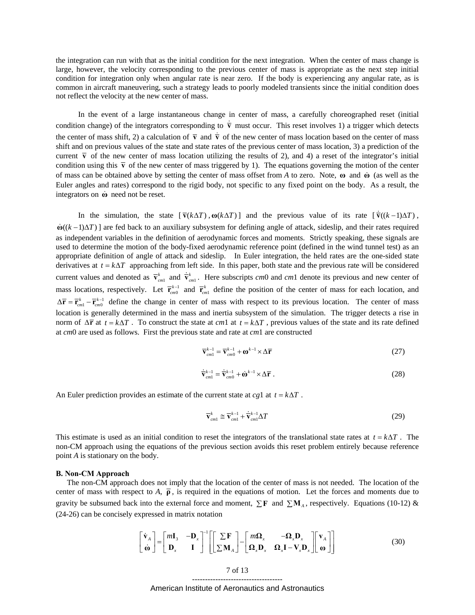the integration can run with that as the initial condition for the next integration. When the center of mass change is large, however, the velocity corresponding to the previous center of mass is appropriate as the next step initial condition for integration only when angular rate is near zero. If the body is experiencing any angular rate, as is common in aircraft maneuvering, such a strategy leads to poorly modeled transients since the initial condition does not reflect the velocity at the new center of mass.

 In the event of a large instantaneous change in center of mass, a carefully choreographed reset (initial condition change) of the integrators corresponding to  $\dot{\overline{v}}$  must occur. This reset involves 1) a trigger which detects the center of mass shift, 2) a calculation of  $\bar{v}$  and  $\dot{\bar{v}}$  of the new center of mass location based on the center of mass shift and on previous values of the state and state rates of the previous center of mass location, 3) a prediction of the current  $\bar{v}$  of the new center of mass location utilizing the results of 2), and 4) a reset of the integrator's initial condition using this  $\bar{v}$  of the new center of mass triggered by 1). The equations governing the motion of the center of mass can be obtained above by setting the center of mass offset from *A* to zero. Note, **ω** and **ω** (as well as the Euler angles and rates) correspond to the rigid body, not specific to any fixed point on the body. As a result, the integrators on **ω** need not be reset.

In the simulation, the state  $[\bar{v}(k\Delta T), \omega(k\Delta T)]$  and the previous value of its rate  $[\bar{v}((k-1)\Delta T),$  $\dot{\omega}((k-1)\Delta T)$  are fed back to an auxiliary subsystem for defining angle of attack, sideslip, and their rates required as independent variables in the definition of aerodynamic forces and moments. Strictly speaking, these signals are used to determine the motion of the body-fixed aerodynamic reference point (defined in the wind tunnel test) as an appropriate definition of angle of attack and sideslip. In Euler integration, the held rates are the one-sided state derivatives at  $t = k\Delta T$  approaching from left side. In this paper, both state and the previous rate will be considered current values and denoted as  $\bar{\mathbf{v}}_{cm}^k$  and  $\dot{\bar{\mathbf{v}}}_{cm}^k$ . Here subscripts *cm*0 and *cm*1 denote its previous and new center of mass locations, respectively. Let  $\vec{r}_{cm0}^{k-1}$  and  $\vec{r}_{cm1}^{k}$  define the position of the center of mass for each location, and  $\Delta \bar{r} = \bar{r}_{cm}^{k-1}$  define the change in center of mass with respect to its previous location. The center of mass location is generally determined in the mass and inertia subsystem of the simulation. The trigger detects a rise in norm of  $\Delta \overline{r}$  at  $t = k\Delta T$ . To construct the state at *cm*1 at  $t = k\Delta T$ , previous values of the state and its rate defined at *cm*0 are used as follows. First the previous state and rate at *cm*1 are constructed

$$
\overline{\mathbf{v}}_{cm}^{k-1} = \overline{\mathbf{v}}_{cm0}^{k-1} + \mathbf{\omega}^{k-1} \times \Delta \overline{\mathbf{r}}
$$
\n(27)

$$
\dot{\overline{\mathbf{v}}}_{cm}^{k-1} = \dot{\overline{\mathbf{v}}}_{cm0}^{k-1} + \dot{\mathbf{\omega}}^{k-1} \times \Delta \overline{\mathbf{r}} \ . \tag{28}
$$

An Euler prediction provides an estimate of the current state at  $cgl$  at  $t = k\Delta T$ .

$$
\overline{\mathbf{v}}_{cm}^k \cong \overline{\mathbf{v}}_{cm}^{k-1} + \dot{\overline{\mathbf{v}}}_{cm}^{k-1} \Delta T \tag{29}
$$

This estimate is used as an initial condition to reset the integrators of the translational state rates at  $t = k\Delta T$ . The non-CM approach using the equations of the previous section avoids this reset problem entirely because reference point *A* is stationary on the body.

#### **B. Non-CM Approach**

The non-CM approach does not imply that the location of the center of mass is not needed. The location of the center of mass with respect to  $A$ ,  $\bar{\rho}$ , is required in the equations of motion. Let the forces and moments due to gravity be subsumed back into the external force and moment,  $\Sigma \mathbf{F}$  and  $\Sigma \mathbf{M}_A$ , respectively. Equations (10-12) & (24-26) can be concisely expressed in matrix notation

$$
\begin{bmatrix} \dot{\mathbf{v}}_A \\ \dot{\mathbf{\omega}} \end{bmatrix} = \begin{bmatrix} m\mathbf{I}_3 & -\mathbf{D}_x \\ \mathbf{D}_x & \mathbf{I} \end{bmatrix}^{-1} \begin{bmatrix} \sum \mathbf{F} \\ \sum \mathbf{M}_A \end{bmatrix} - \begin{bmatrix} m\mathbf{\Omega}_x & -\mathbf{\Omega}_x \mathbf{D}_x \\ \mathbf{\Omega}_x \mathbf{D}_x & \mathbf{\Omega}_x \mathbf{I} - \mathbf{V}_x \mathbf{D}_x \end{bmatrix} \begin{bmatrix} \mathbf{v}_A \\ \mathbf{\omega} \end{bmatrix}
$$
(30)

7 of 13

-----------------------------------

American Institute of Aeronautics and Astronautics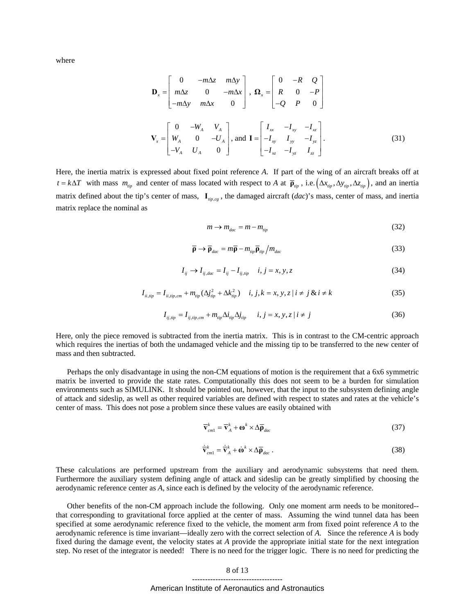where

$$
\mathbf{D}_{x} = \begin{bmatrix} 0 & -m\Delta z & m\Delta y \\ m\Delta z & 0 & -m\Delta x \\ -m\Delta y & m\Delta x & 0 \end{bmatrix}, \quad \mathbf{\Omega}_{x} = \begin{bmatrix} 0 & -R & Q \\ R & 0 & -P \\ -Q & P & 0 \end{bmatrix}
$$

$$
\mathbf{V}_{x} = \begin{bmatrix} 0 & -W_{A} & V_{A} \\ W_{A} & 0 & -U_{A} \\ -V_{A} & U_{A} & 0 \end{bmatrix}, \text{ and } \mathbf{I} = \begin{bmatrix} I_{xx} & -I_{xy} & -I_{xz} \\ -I_{xy} & I_{yy} & -I_{yz} \\ -I_{xz} & -I_{yz} & I_{zz} \end{bmatrix}.
$$
(31)

Here, the inertia matrix is expressed about fixed point reference *A*. If part of the wing of an aircraft breaks off at  $t = k\Delta T$  with mass  $m_{\text{tip}}$  and center of mass located with respect to *A* at  $\bar{\rho}_{\text{tip}}$ , i.e.  $(\Delta x_{\text{tip}}, \Delta y_{\text{rip}}, \Delta z_{\text{rip}})$ , and an inertia matrix defined about the tip's center of mass,  $I_{\text{line,ce}}$ , the damaged aircraft (*dac*)'s mass, center of mass, and inertia matrix replace the nominal as

$$
m \to m_{\text{dac}} = m - m_{\text{tip}} \tag{32}
$$

$$
\overline{\mathbf{p}} \to \overline{\mathbf{p}}_{dac} = m\overline{\mathbf{p}} - m_{tip}\overline{\mathbf{p}}_{tip}/m_{dac}
$$
 (33)

$$
I_{ij} \rightarrow I_{ij,dac} = I_{ij} - I_{ij,tip} \quad i, j = x, y, z \tag{34}
$$

$$
I_{ii,tip} = I_{ii,tip,cm} + m_{tip} (\Delta j_{tip}^2 + \Delta k_{tip}^2) \quad i, j, k = x, y, z \mid i \neq j \& i \neq k \tag{35}
$$

$$
I_{ij,tip} = I_{ij,tip,cm} + m_{tip} \Delta i_{tip} \Delta j_{tip} \qquad i, j = x, y, z \mid i \neq j \tag{36}
$$

Here, only the piece removed is subtracted from the inertia matrix. This is in contrast to the CM-centric approach which requires the inertias of both the undamaged vehicle and the missing tip to be transferred to the new center of mass and then subtracted.

 Perhaps the only disadvantage in using the non-CM equations of motion is the requirement that a 6x6 symmetric matrix be inverted to provide the state rates. Computationally this does not seem to be a burden for simulation environments such as SIMULINK. It should be pointed out, however, that the input to the subsystem defining angle of attack and sideslip, as well as other required variables are defined with respect to states and rates at the vehicle's center of mass. This does not pose a problem since these values are easily obtained with

$$
\overline{\mathbf{v}}_{cm1}^k = \overline{\mathbf{v}}_A^k + \mathbf{\omega}^k \times \Delta \overline{\mathbf{p}}_{dac}
$$
 (37)

$$
\dot{\overline{\mathbf{v}}}_{cm1}^{k} = \dot{\overline{\mathbf{v}}}_{A}^{k} + \dot{\mathbf{\omega}}^{k} \times \Delta \overline{\mathbf{p}}_{dac} .
$$
 (38)

These calculations are performed upstream from the auxiliary and aerodynamic subsystems that need them. Furthermore the auxiliary system defining angle of attack and sideslip can be greatly simplified by choosing the aerodynamic reference center as *A*, since each is defined by the velocity of the aerodynamic reference.

 Other benefits of the non-CM approach include the following. Only one moment arm needs to be monitored- that corresponding to gravitational force applied at the center of mass. Assuming the wind tunnel data has been specified at some aerodynamic reference fixed to the vehicle, the moment arm from fixed point reference *A* to the aerodynamic reference is time invariant—ideally zero with the correct selection of *A*. Since the reference *A* is body fixed during the damage event, the velocity states at *A* provide the appropriate initial state for the next integration step. No reset of the integrator is needed! There is no need for the trigger logic. There is no need for predicting the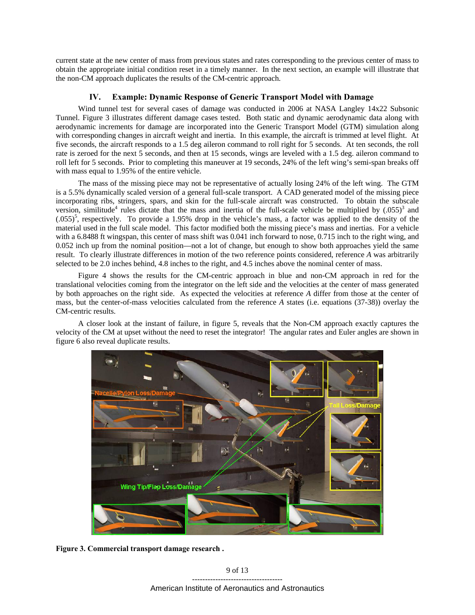current state at the new center of mass from previous states and rates corresponding to the previous center of mass to obtain the appropriate initial condition reset in a timely manner. In the next section, an example will illustrate that the non-CM approach duplicates the results of the CM-centric approach.

# **IV. Example: Dynamic Response of Generic Transport Model with Damage**

 Wind tunnel test for several cases of damage was conducted in 2006 at NASA Langley 14x22 Subsonic Tunnel. Figure 3 illustrates different damage cases tested. Both static and dynamic aerodynamic data along with aerodynamic increments for damage are incorporated into the Generic Transport Model (GTM) simulation along with corresponding changes in aircraft weight and inertia. In this example, the aircraft is trimmed at level flight. At five seconds, the aircraft responds to a 1.5 deg aileron command to roll right for 5 seconds. At ten seconds, the roll rate is zeroed for the next 5 seconds, and then at 15 seconds, wings are leveled with a 1.5 deg. aileron command to roll left for 5 seconds. Prior to completing this maneuver at 19 seconds, 24% of the left wing's semi-span breaks off with mass equal to 1.95% of the entire vehicle.

 The mass of the missing piece may not be representative of actually losing 24% of the left wing. The GTM is a 5.5% dynamically scaled version of a general full-scale transport. A CAD generated model of the missing piece incorporating ribs, stringers, spars, and skin for the full-scale aircraft was constructed. To obtain the subscale version, similitude<sup>4</sup> rules dictate that the mass and inertia of the full-scale vehicle be multiplied by  $(.055)^3$  and  $(.055)^5$ , respectively. To provide a 1.95% drop in the vehicle's mass, a factor was applied to the density of the material used in the full scale model. This factor modified both the missing piece's mass and inertias. For a vehicle with a 6.8488 ft wingspan, this center of mass shift was 0.041 inch forward to nose, 0.715 inch to the right wing, and 0.052 inch up from the nominal position—not a lot of change, but enough to show both approaches yield the same result. To clearly illustrate differences in motion of the two reference points considered, reference *A* was arbitrarily selected to be 2.0 inches behind, 4.8 inches to the right, and 4.5 inches above the nominal center of mass.

 Figure 4 shows the results for the CM-centric approach in blue and non-CM approach in red for the translational velocities coming from the integrator on the left side and the velocities at the center of mass generated by both approaches on the right side. As expected the velocities at reference *A* differ from those at the center of mass, but the center-of-mass velocities calculated from the reference *A* states (i.e. equations (37-38)) overlay the CM-centric results.

 A closer look at the instant of failure, in figure 5, reveals that the Non-CM approach exactly captures the velocity of the CM at upset without the need to reset the integrator! The angular rates and Euler angles are shown in figure 6 also reveal duplicate results.



**Figure 3. Commercial transport damage research .**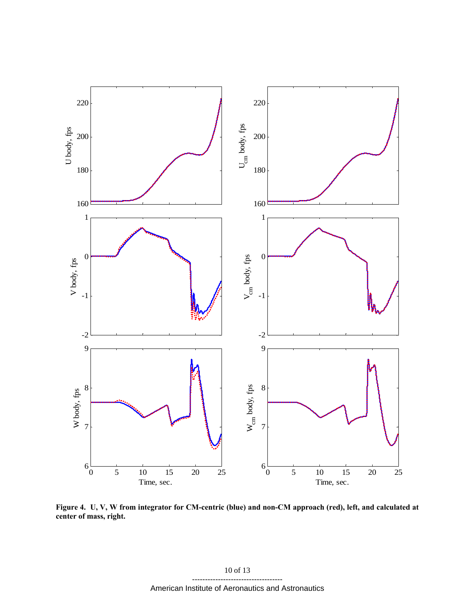

**Figure 4. U, V, W from integrator for CM-centric (blue) and non-CM approach (red), left, and calculated at center of mass, right.**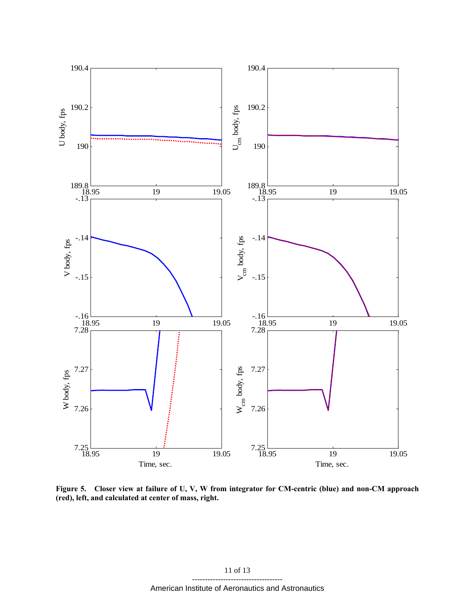

**Figure 5. Closer view at failure of U, V, W from integrator for CM-centric (blue) and non-CM approach (red), left, and calculated at center of mass, right.** 

American Institute of Aeronautics and Astronautics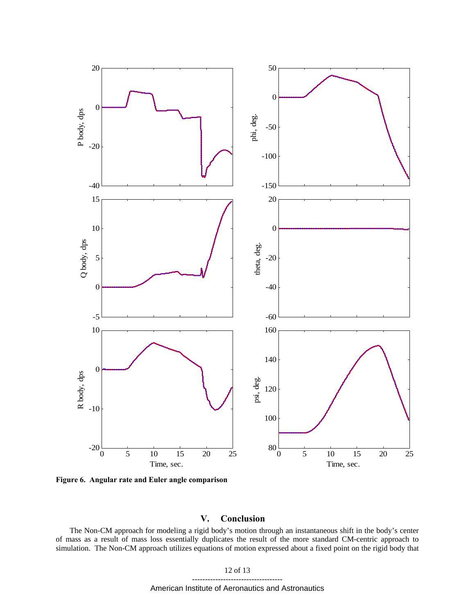

**Figure 6. Angular rate and Euler angle comparison** 

# **V. Conclusion**

The Non-CM approach for modeling a rigid body's motion through an instantaneous shift in the body's center of mass as a result of mass loss essentially duplicates the result of the more standard CM-centric approach to simulation. The Non-CM approach utilizes equations of motion expressed about a fixed point on the rigid body that

## 12 of 13 -----------------------------------

American Institute of Aeronautics and Astronautics